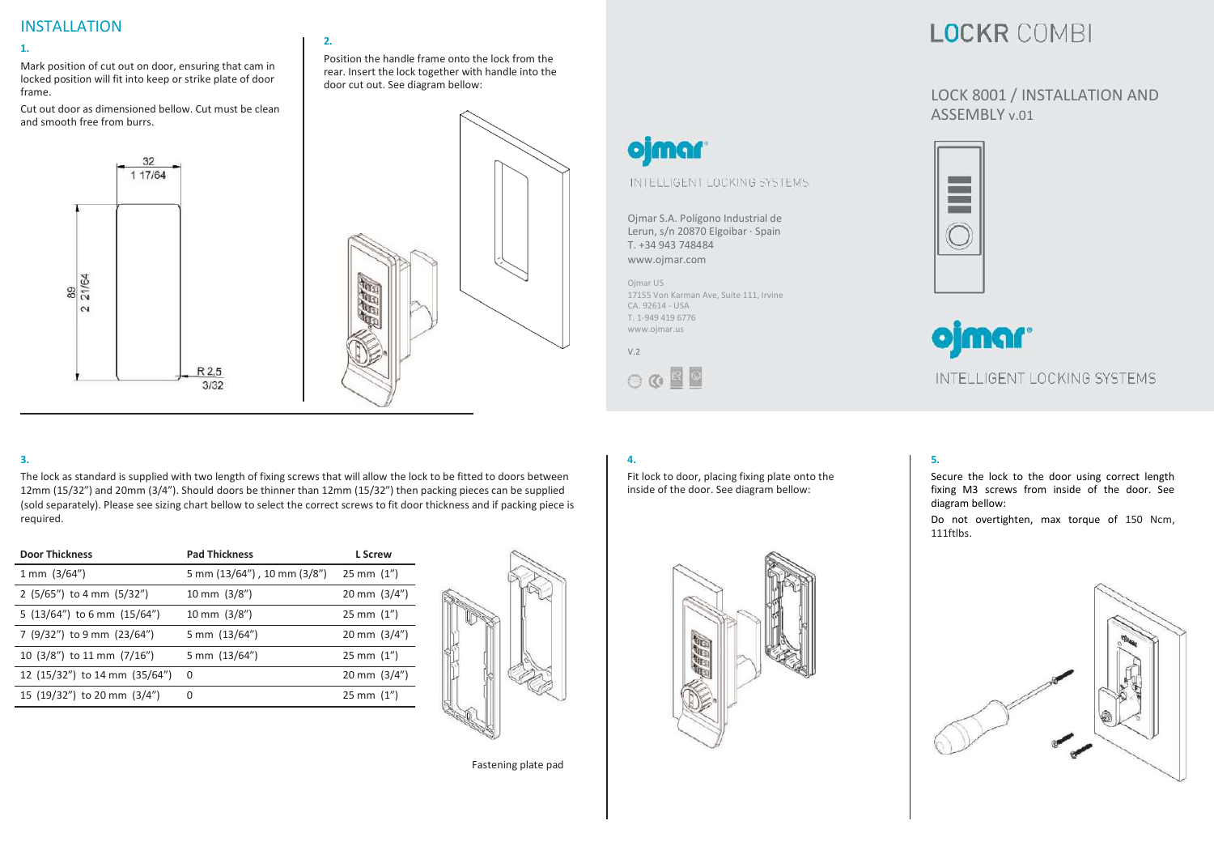### INSTALLATION

#### **1.**

Mark position of cut out on door, ensuring that cam in locked position will fit into keep or strike plate of door frame.

Cut out door as dimensioned bellow. Cut must be clean and smooth free from burrs.

# 32 1 17/64 89<br>21/64  $\sim$ R 2,5  $3/32$



Position the handle frame onto the lock from the rear. Insert the lock together with handle into the

### **LOCKR COMBI**

#### LOCK 8001 / INSTALLATION AND ASSEMBLY v.01



## ojmar INTELLIGENT LOCKING SYSTEMS

#### **3.**

The lock as standard is supplied with two length of fixing screws that will allow the lock to be fitted to doors between 12mm (15/32") and 20mm (3/4"). Should doors be thinner than 12mm (15/32") then packing pieces can be supplied (sold separately). Please see sizing chart bellow to select the correct screws to fit door thickness and if packing piece is required.

**2.**

| <b>Door Thickness</b>             | <b>Pad Thickness</b>        | L Screw                   |
|-----------------------------------|-----------------------------|---------------------------|
| $1 \text{ mm}$ (3/64")            | 5 mm (13/64"), 10 mm (3/8") | $25 \, \text{mm}$ $(1'')$ |
| $2$ (5/65") to 4 mm (5/32")       | 10 mm $(3/8'')$             | 20 mm $(3/4")$            |
| 5 $(13/64'')$ to 6 mm $(15/64'')$ | 10 mm $(3/8'')$             | $25 \, \text{mm}$ $(1'')$ |
| 7 (9/32") to 9 mm (23/64")        | 5 mm (13/64")               | 20 mm $(3/4")$            |
| 10 (3/8") to 11 mm (7/16")        | 5 mm (13/64")               | $25 \, \text{mm}$ $(1'')$ |
| 12 (15/32") to 14 mm (35/64")     | $\Omega$                    | 20 mm $(3/4")$            |
| 15 (19/32") to 20 mm (3/4")       | 0                           | $25 \, \text{mm}$ $(1'')$ |
|                                   |                             |                           |



Fastening plate pad

#### **4.**

Fit lock to door, placing fixing plate onto the inside of the door. See diagram bellow:

Ojmar S.A. Polígono Industrial de Lerun, s/n 20870 Elgoibar · Spain

INTELLIGENT LOCKING SYSTEMS

17155 Von Karman Ave, Suite 111, Irvine

T. +34 943 748484 [www.ojmar.com](http://www.ojmar.com/)

**ojmar** 

Ojmar US

V.2

CA. 92614 - USA T. 1-949 419 6776 [www.ojmar.us](http://www.ojmar.us/)

 $\circ \circ \blacksquare$ 



#### **5.**

Secure the lock to the door using correct length fixing M3 screws from inside of the door. See diagram bellow:

Do not overtighten, max torque of 150 Ncm, 111ftlbs.